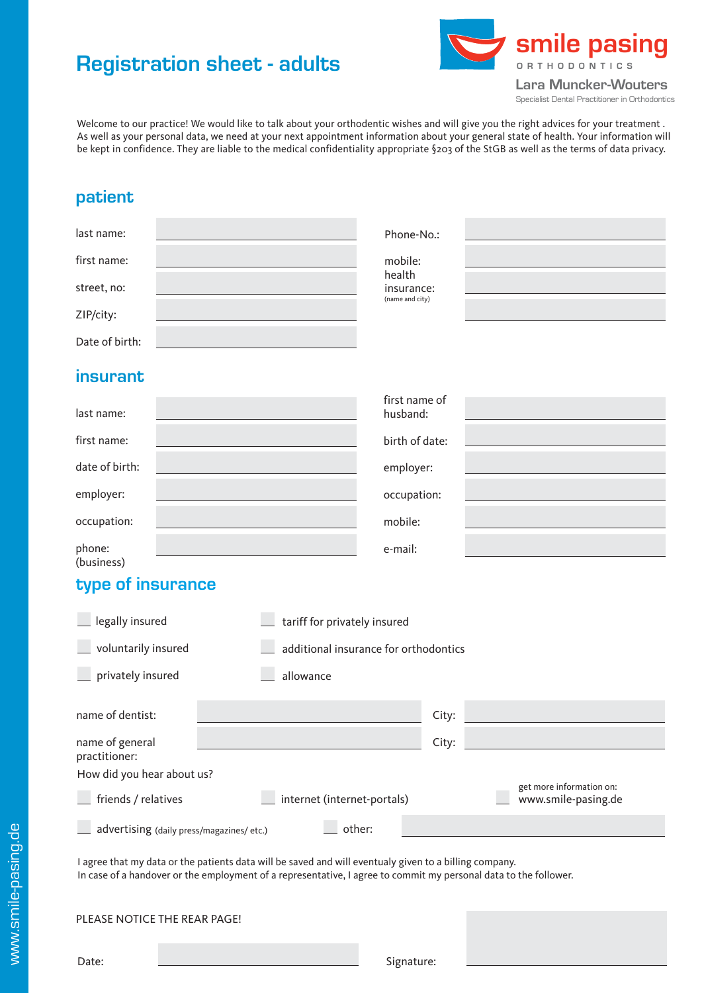# **Registration sheet - adults**



Welcome to our practice! We would like to talk about your orthodentic wishes and will give you the right advices for your treatment . As well as your personal data, we need at your next appointment information about your general state of health. Your information will be kept in confidence. They are liable to the medical confidentiality appropriate §203 of the StGB as well as the terms of data privacy.

### **patient**

| last name:     | Phone-No.:                              |  |
|----------------|-----------------------------------------|--|
| first name:    | mobile:                                 |  |
| street, no:    | health<br>insurance:<br>(name and city) |  |
| ZIP/city:      |                                         |  |
| Date of birth: |                                         |  |

#### **insurant**

| last name:           |                                                                                | first name of<br>husband: |                                                                                                                |
|----------------------|--------------------------------------------------------------------------------|---------------------------|----------------------------------------------------------------------------------------------------------------|
| first name:          |                                                                                | birth of date:            |                                                                                                                |
| date of birth:       |                                                                                | employer:                 |                                                                                                                |
| employer:            | and the control of the control of the control of the control of the control of | occupation:               | a sa kabupatèn Kabupatèn Bangsa Kabupatèn Bangsa Kabupatèn Kabupatèn Kabupatèn Kabupatèn Kabupatèn Kabupatèn K |
| occupation:          |                                                                                | mobile:                   |                                                                                                                |
| phone:<br>(business) |                                                                                | e-mail:                   |                                                                                                                |

### **type of insurance**

| legally insured                                        | tariff for privately insured  |                                       |  |  |  |  |
|--------------------------------------------------------|-------------------------------|---------------------------------------|--|--|--|--|
| voluntarily insured                                    |                               | additional insurance for orthodontics |  |  |  |  |
| privately insured                                      | allowance                     |                                       |  |  |  |  |
| name of dentist:                                       |                               | City:                                 |  |  |  |  |
| name of general<br>practitioner:                       |                               | City:                                 |  |  |  |  |
| How did you hear about us?<br>get more information on: |                               |                                       |  |  |  |  |
| friends / relatives                                    | _ internet (internet-portals) |                                       |  |  |  |  |
| other:<br>advertising (daily press/magazines/ etc.)    |                               |                                       |  |  |  |  |
|                                                        |                               |                                       |  |  |  |  |

I agree that my data or the patients data will be saved and will eventualy given to a billing company. In case of a handover or the employment of a representative, I agree to commit my personal data to the follower.

www.smile-pasing.de www.smile-pasing.de